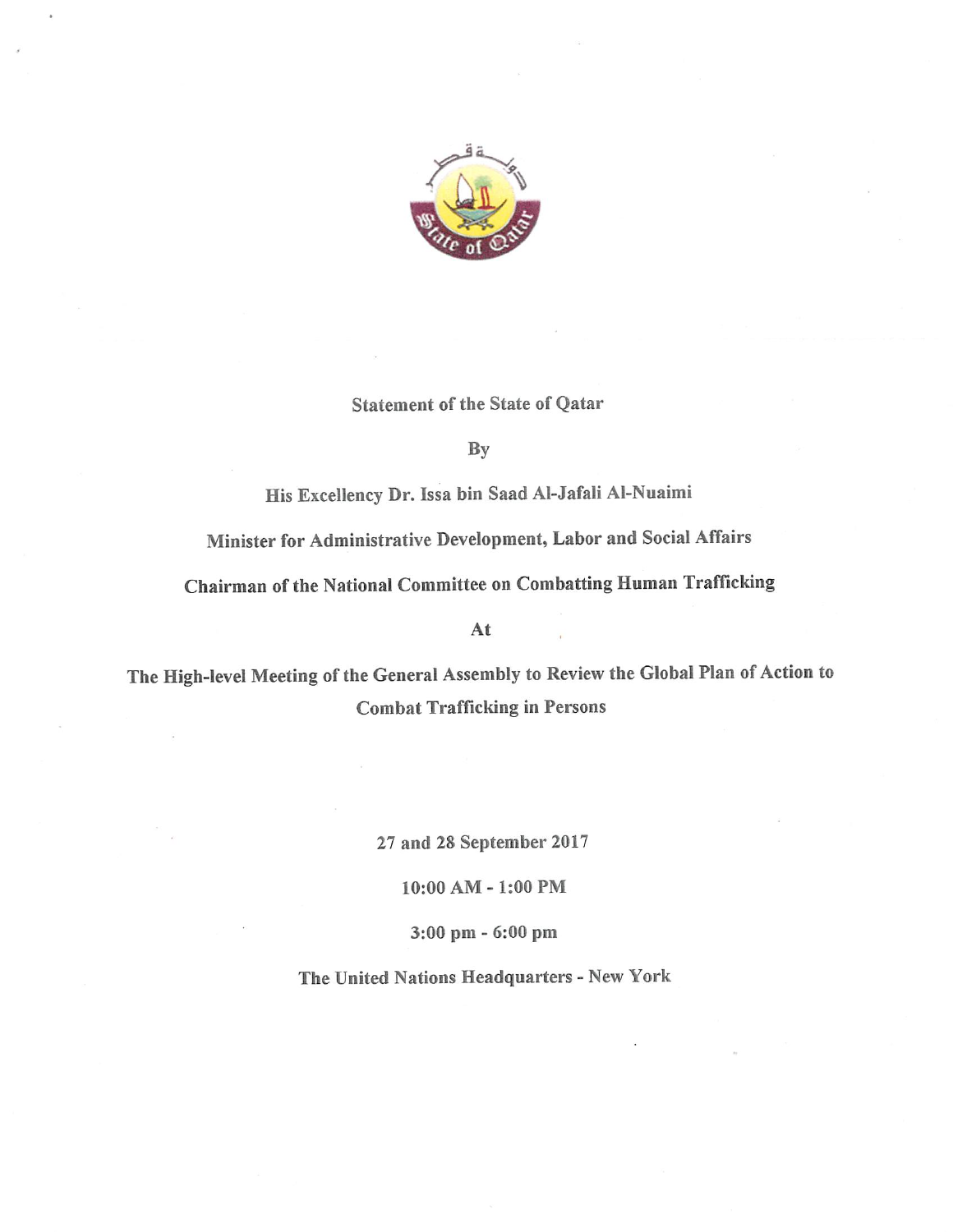

## Statement of the State of Qatar

By

His Excellency Dr. Issa bin Saad Al-Jafali AI-Nuaimi

Minister for Administrative Development, Labor and Social Affairs

Chairman of the National Committee on Combatting Human Trafficking

At

The High-level Meeting of the General Assembly to Review the Global Plan of Action to Combat Trafficking in Persons

27 and 28 September 2017

10:00 AM-1:00 PM

3:00 pm - 6:00 pm

The United Nations Headquarters - New York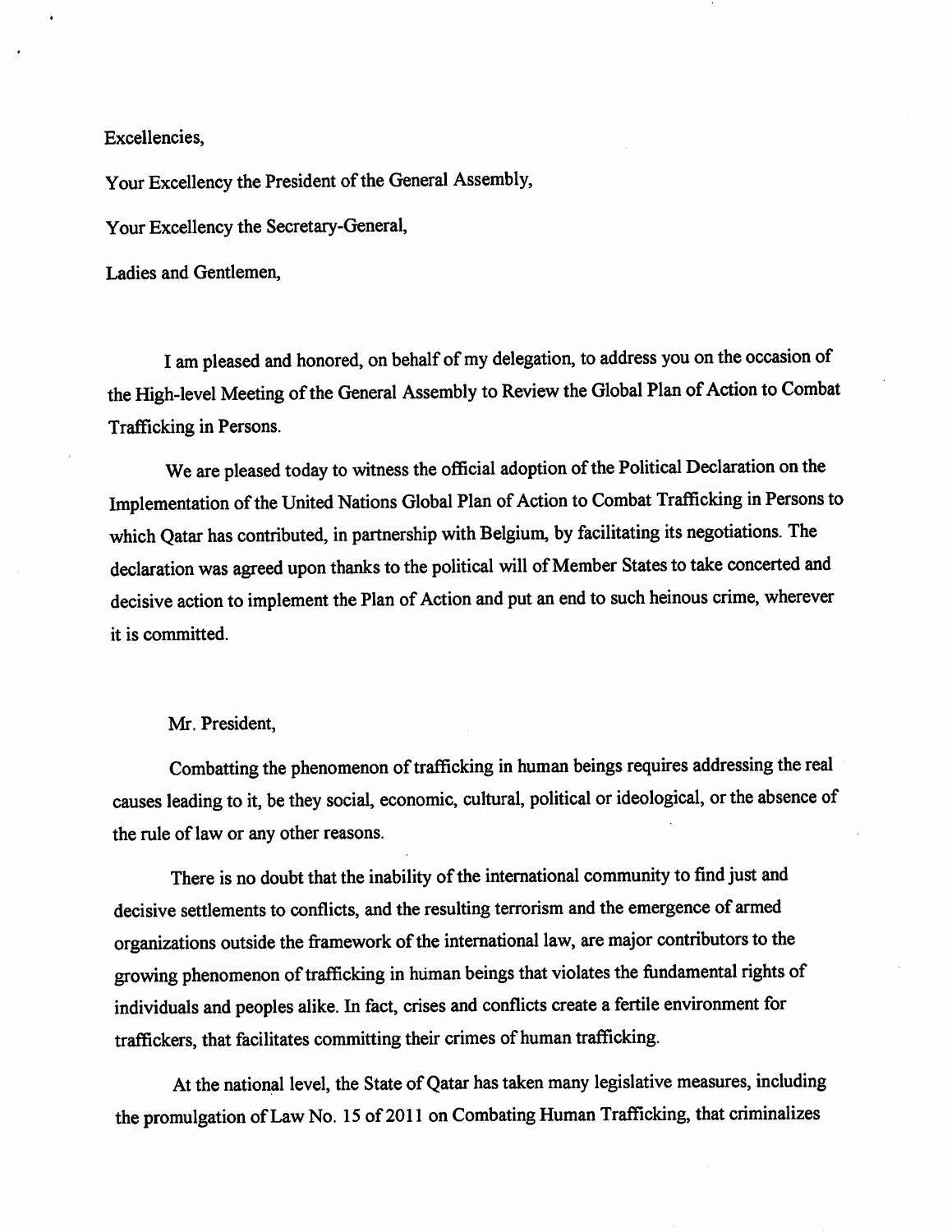Excellencies,

Your Excellency the President of the General Assembly,

Your Excellency the Secretary-General,

Ladies and Gentlemen,

I am pleased and honored, on behalf of my delegation, to address you on the occasion of the High-level Meeting of the General Assembly to Review the Global Plan of Action to Combat Trafficking in Persons.

We are pleased today to witness the official adoption of the Political Declaration on the Implementation of the United Nations Global Plan of Action to Combat Trafficking in Persons to which Qatar has contributed, in partnership with Belgium, by facilitating its negotiations. The declaration was agreed upon thanks to the political will of Member States to take concerted and decisive action to implement the Plan of Action and put an end to such heinous crime, wherever it is committed.

## Mr. President,

Combatting the phenomenon of trafficking in human beings requires addressing the real causes leading to it, be they social, economic, cultural, political or ideological, or the absence of the rule of law or any other reasons.

There is no doubt that the inability of the international community to find just and decisive settlements to conflicts, and the resulting terrorism and the emergence of armed organizations outside the framework of the international law, are major contributors to the growing phenomenon of trafficking in human beings that violates the fundamental rights of individuals and peoples alike. In fact, crises and conflicts create a fertile environment for traffickers, that facilitates committing their crimes of human trafficking.

At the national level, the State of Qatar has taken many legislative measures, including the promulgation of Law No. 15 of 2011 on Combating Human Trafficking, that criminalizes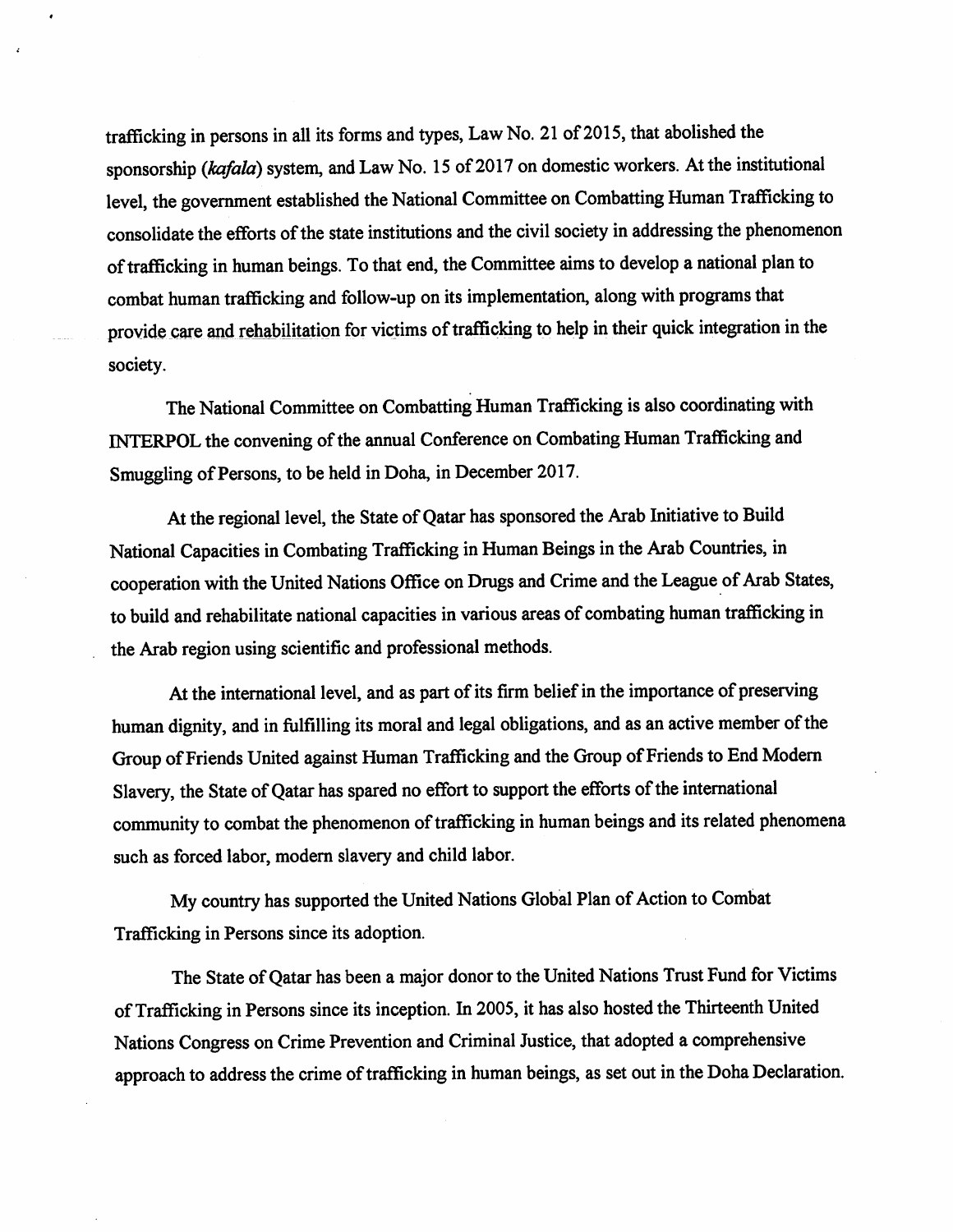trafficking in persons in all its forms and types, Law No. 21 of 2015, that abolished the sponsorship (kafala) system, and Law No. 15 of 2017 on domestic workers. At the institutional level, the government established the National Committee on Combatting Human Trafficking to consolidate the efforts of the state institutions and the civil society in addressing the phenomenon of trafficking in human beings. To that end, the Committee aims to develop a national plan to combat human trafficking and follow-up on its implementation, along with programs that provide care and rehabilitation for victims of trafficking to help in their quick integration in the society.

The National Committee on Combatting Human Trafficking is also coordinating with INTERPOL the convening of the annual Conference on Combating Human Trafficking and Smuggling of Persons, to be held in Doha, in December 2017.

At the regional level, the State of Qatar has sponsored the Arab Initiative to Build National Capacities in Combating Trafficking in Human Beings in the Arab Countries, in cooperation with the United Nations Office on Drugs and Crime and the League of Arab States, to build and rehabilitate national capacities in various areas of combating human trafficking in the Arab region using scientific and professional methods.

At the international level, and as part of its firm belief in the importance of preserving human dignity, and in fulfilling its moral and legal obligations, and as an active member of the Group of Friends United against Human Trafficking and the Group of Friends to End Modern Slavery, the State of Qatar has spared no effort to support the efforts of the international community to combat the phenomenon of trafficking in human beings and its related phenomena such as forced labor, modem slavery and child labor.

My country has supported the United Nations Global Plan of Action to Combat Trafficking in Persons since its adoption.

The State of Qatar has been a major donor to the United Nations Trust Fund for Victims of Trafficking in Persons since its inception. In 2005, it has also hosted the Thirteenth United Nations Congress on Crime Prevention and Criminal Justice, that adopted a comprehensive approach to address the crime of trafficking in human beings, as set out in the Doha Declaration.